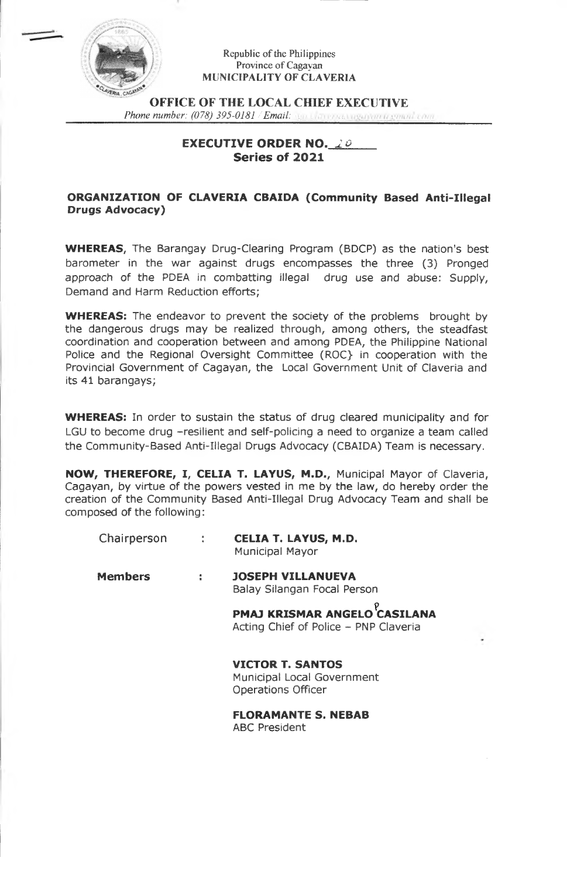

#### Republic of the Philippines Province of Cagayan **MUNICIPALITY OF CLAVERIA**

**OFFICE OF THE LOCAL CHIEF EXECUTIVE** *Phone number: (078) 395-0181 /Email:*

# **EXECUTIVE ORDER NO.** *2&* **Series of 2021**

# **ORGANIZATION OF CLAVERIA CBAIDA (Community Based Anti-Illegal Drugs Advocacy)**

**WHEREAS,** The Barangay Drug-Clearing Program (BDCP) as the nation's best barometer in the war against drugs encompasses the three (3) Pronged approach of the PDEA in combatting illegal drug use and abuse: Supply, Demand and Harm Reduction efforts;

**WHEREAS:** The endeavor to prevent the society of the problems brought by the dangerous drugs may be realized through, among others, the steadfast coordination and cooperation between and among PDEA, the Philippine National Police and the Regional Oversight Committee (ROC} in cooperation with the Provincial Government of Cagayan, the Local Government Unit of Claveria and its 41 barangays;

**WHEREAS:** In order to sustain the status of drug cleared municipality and for LGU to become drug -resilient and self-policing a need to organize a team called the Community-Based Anti-Illegal Drugs Advocacy (CBAIDA) Team is necessary.

**NOW, THEREFORE, I, CELIA T. LAYUS, M.D.,** Municipal Mayor of Claveria, Cagayan, by virtue of the powers vested in me by the law, do hereby order the creation of the Community Based Anti-Illegal Drug Advocacy Team and shall be composed of the following:

| Chairperson    | $\sim 10^{-1}$ | <b>CELIA T. LAYUS, M.D.</b><br><b>Municipal Mayor</b>                              |
|----------------|----------------|------------------------------------------------------------------------------------|
| <b>Members</b> | ÷              | <b>JOSEPH VILLANUEVA</b><br>Balay Silangan Focal Person                            |
|                |                | <b>PMAJ KRISMAR ANGELO</b> CASILANA<br>Acting Chief of Police – PNP Claveria       |
|                |                | <b>VICTOR T. SANTOS</b><br>Municipal Local Government<br><b>Operations Officer</b> |
|                |                | <b>FLORAMANTE S. NEBAB</b><br><b>ABC President</b>                                 |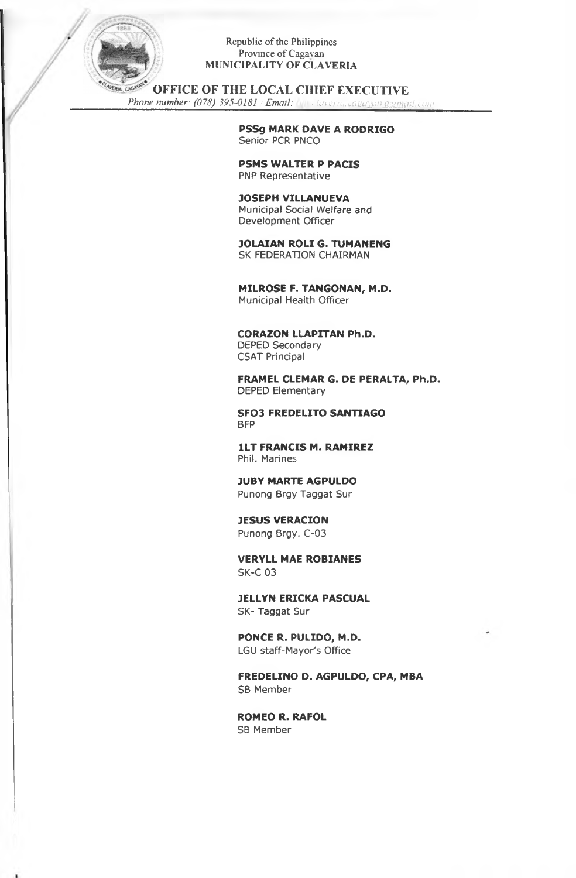

### Republic of the Philippines Province of Cagavan **MUNICIPALITY OF CLAVERIA**

**OFFICE OF THE LOCAL CHIEF EXECUTIVE**

*Phone number: (078) 395-0181 /Email: <sup>&</sup>lt; laveria. cayaycmaymail. com*

**PSSg MARK DAVE A RODRIGO** Senior PCR PNCO

**PSMS WALTER P PACIS** PNP Representative

**JOSEPH VILLANUEVA** Municipal Social Welfare and Development Officer

**JOLAIAN ROLI G. TUMANENG** SK FEDERATION CHAIRMAN

**MILROSE F. TANGONAN, M.D.** Municipal Health Officer

**CORAZON LLAPTTAN Ph.D.** DEPED Secondary

CSAT Principal

**FRAMEL CLEMAR G. DE PERALTA, Ph.D.** DEPED Elementary

**SFO3 FREDELITO SANTIAGO** BFP

**1LT FRANCIS M. RAMIREZ** Phil. Marines

**JUBY MARTE AGPULDO** Punong Brgy Taggat Sur

**JESUS VERACION** Punong Brgy. C-03

**VERYLL MAE ROBIANES** SK-C 03

**JELLYN ERICKA PASCUAL** SK- Taggat Sur

**PONCE R. PULIDO, M.D.** LGU staff-Mayor's Office

**FREDELINO D. AGPULDO, CPA, MBA** SB Member

**ROMEO R. RAFOL** SB Member